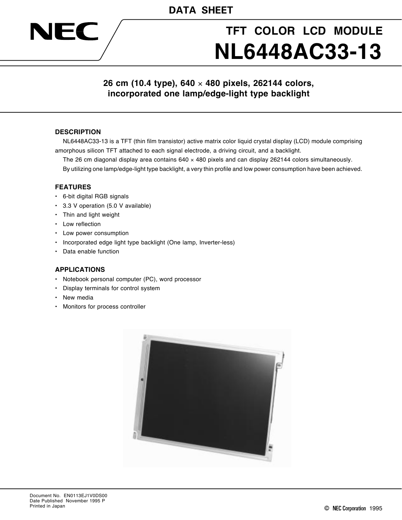# **TFT COLOR LCD MODULE NL6448AC33-13**

# **26 cm (10.4 type), 640** × **480 pixels, 262144 colors, incorporated one lamp/edge-light type backlight**

#### **DESCRIPTION**

NEC

NL6448AC33-13 is a TFT (thin film transistor) active matrix color liquid crystal display (LCD) module comprising amorphous silicon TFT attached to each signal electrode, a driving circuit, and a backlight.

The 26 cm diagonal display area contains  $640 \times 480$  pixels and can display 262144 colors simultaneously.

By utilizing one lamp/edge-light type backlight, a very thin profile and low power consumption have been achieved.

#### **FEATURES**

- 6-bit digital RGB signals
- 3.3 V operation (5.0 V available)
- Thin and light weight
- Low reflection
- Low power consumption
- Incorporated edge light type backlight (One lamp, Inverter-less)
- Data enable function

#### **APPLICATIONS**

- Notebook personal computer (PC), word processor
- Display terminals for control system
- New media
- Monitors for process controller

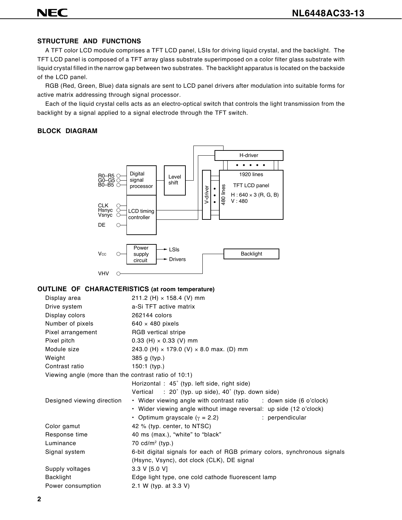# **NEC**

# **STRUCTURE AND FUNCTIONS**

A TFT color LCD module comprises a TFT LCD panel, LSIs for driving liquid crystal, and the backlight. The TFT LCD panel is composed of a TFT array glass substrate superimposed on a color filter glass substrate with liquid crystal filled in the narrow gap between two substrates. The backlight apparatus is located on the backside of the LCD panel.

RGB (Red, Green, Blue) data signals are sent to LCD panel drivers after modulation into suitable forms for active matrix addressing through signal processor.

Each of the liquid crystal cells acts as an electro-optical switch that controls the light transmission from the backlight by a signal applied to a signal electrode through the TFT switch.

#### **BLOCK DIAGRAM**



#### **OUTLINE OF CHARACTERISTICS (at room temperature)**

| Display area                                         | 211.2 (H) $\times$ 158.4 (V) mm                                           |
|------------------------------------------------------|---------------------------------------------------------------------------|
| Drive system                                         | a-Si TFT active matrix                                                    |
| Display colors                                       | 262144 colors                                                             |
| Number of pixels                                     | $640 \times 480$ pixels                                                   |
| Pixel arrangement                                    | RGB vertical stripe                                                       |
| Pixel pitch                                          | 0.33 (H) $\times$ 0.33 (V) mm                                             |
| Module size                                          | 243.0 (H) $\times$ 179.0 (V) $\times$ 8.0 max. (D) mm                     |
| Weight                                               | 385 g (typ.)                                                              |
| Contrast ratio                                       | $150:1$ (typ.)                                                            |
| Viewing angle (more than the contrast ratio of 10:1) |                                                                           |
|                                                      | Horizontal: 45° (typ. left side, right side)                              |
|                                                      | Vertical : $20^{\circ}$ (typ. up side), $40^{\circ}$ (typ. down side)     |
| Designed viewing direction                           | • Wider viewing angle with contrast ratio : down side (6 o'clock)         |
|                                                      | • Wider viewing angle without image reversal: up side (12 o'clock)        |
|                                                      | • Optimum grayscale ( $\gamma$ = 2.2)<br>: perpendicular                  |
| Color gamut                                          | 42 % (typ. center, to NTSC)                                               |
| Response time                                        | 40 ms (max.), "white" to "black"                                          |
| Luminance                                            | 70 $cd/m2$ (typ.)                                                         |
| Signal system                                        | 6-bit digital signals for each of RGB primary colors, synchronous signals |
|                                                      | (Hsync, Vsync), dot clock (CLK), DE signal                                |
| Supply voltages                                      | 3.3 V [5.0 V]                                                             |
| <b>Backlight</b>                                     | Edge light type, one cold cathode fluorescent lamp                        |
| Power consumption                                    | 2.1 W (typ. at 3.3 V)                                                     |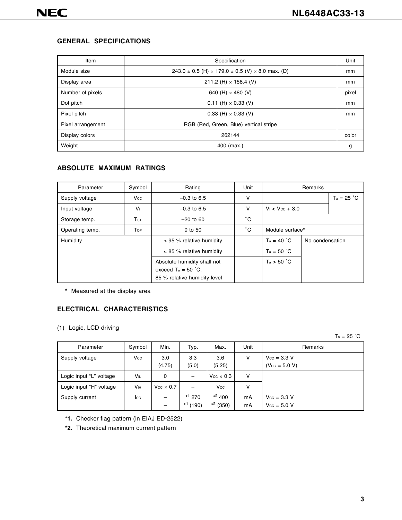#### **GENERAL SPECIFICATIONS**

| Item              | Specification                                                          | Unit  |
|-------------------|------------------------------------------------------------------------|-------|
| Module size       | $243.0 \pm 0.5$ (H) $\times$ 179.0 $\pm$ 0.5 (V) $\times$ 8.0 max. (D) | mm    |
| Display area      | 211.2 (H) $\times$ 158.4 (V)                                           | mm    |
| Number of pixels  | 640 (H) $\times$ 480 (V)                                               | pixel |
| Dot pitch         | $0.11$ (H) $\times$ 0.33 (V)                                           | mm    |
| Pixel pitch       | $0.33$ (H) $\times$ 0.33 (V)                                           | mm    |
| Pixel arrangement | RGB (Red, Green, Blue) vertical stripe                                 |       |
| Display colors    | 262144                                                                 | color |
| Weight            | 400 (max.)                                                             | g     |

# **ABSOLUTE MAXIMUM RATINGS**

| Parameter       | Symbol                           | Rating                                                                               | Unit         |                      |                 |              |
|-----------------|----------------------------------|--------------------------------------------------------------------------------------|--------------|----------------------|-----------------|--------------|
| Supply voltage  | $V_{\rm CC}$                     | $-0.3$ to 6.5                                                                        | v            |                      |                 | $Ta = 25 °C$ |
| Input voltage   | V <sub>1</sub>                   | $-0.3$ to 6.5                                                                        | $\vee$       | $V_1 < V_{CC} + 3.0$ |                 |              |
| Storage temp.   | $\mathsf{T}_{\operatorname{ST}}$ | $-20$ to 60                                                                          | $^{\circ}$ C |                      |                 |              |
| Operating temp. | Top                              | $0$ to $50$                                                                          | °С           | Module surface*      |                 |              |
| Humidity        |                                  | $\leq$ 95 % relative humidity                                                        |              | $T_a = 40 °C$        | No condensation |              |
|                 |                                  | $\leq$ 85 % relative humidity                                                        |              | $Ta = 50 °C$         |                 |              |
|                 |                                  | Absolute humidity shall not<br>exceed $Ta = 50 °C$ .<br>85 % relative humidity level |              | Ta > 50 °C           |                 |              |

**\*** Measured at the display area

#### **ELECTRICAL CHARACTERISTICS**

(1) Logic, LCD driving

 $Ta = 25 °C$ 

| Parameter               | Symbol                 | Min.                    | Typ.                 | Max.                     | Unit     | Remarks                                            |
|-------------------------|------------------------|-------------------------|----------------------|--------------------------|----------|----------------------------------------------------|
| Supply voltage          | $V_{\rm CC}$           | 3.0<br>(4.75)           | 3.3<br>(5.0)         | 3.6<br>(5.25)            | v        | $V_{\text{CC}} = 3.3 V$<br>$(V_{CC} = 5.0 V)$      |
| Logic input "L" voltage | <b>V</b> <sub>IL</sub> | 0                       | -                    | $V_{CC} \times 0.3$      | v        |                                                    |
| Logic input "H" voltage | Vıн                    | $V_{\rm CC} \times 0.7$ |                      | Vcc                      | ٧        |                                                    |
| Supply current          | $_{\rm lcc}$           | -                       | $*1270$<br>$*1(190)$ | $*^2 400$<br>$*^2$ (350) | mA<br>mA | $V_{\text{CC}} = 3.3 V$<br>$V_{\text{CC}} = 5.0 V$ |

- **\*1.** Checker flag pattern (in EIAJ ED-2522)
- **\*2.** Theoretical maximum current pattern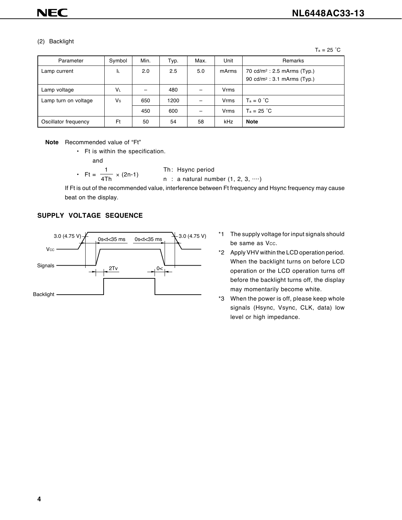#### (2) Backlight

 $Ta = 25 °C$ 

| Parameter            | Symbol    | Min. | Typ. | Max. | Unit  | Remarks                                                                            |
|----------------------|-----------|------|------|------|-------|------------------------------------------------------------------------------------|
| Lamp current         | ΙL        | 2.0  | 2.5  | 5.0  | mArms | 70 cd/m <sup>2</sup> : 2.5 mArms (Typ.)<br>90 cd/m <sup>2</sup> : 3.1 mArms (Typ.) |
| Lamp voltage         | <b>VL</b> |      | 480  |      | Vrms  |                                                                                    |
| Lamp turn on voltage | Vs        | 650  | 1200 |      | Vrms  | $T_a = 0 °C$                                                                       |
|                      |           | 450  | 600  |      | Vrms  | $T_a = 25 °C$                                                                      |
| Oscillator frequency | Ft        | 50   | 54   | 58   | kHz   | <b>Note</b>                                                                        |

**Note** Recommended value of "Ft"

• Ft is within the specification.

and

• Ft =  $\frac{1}{4Th}$ 

$$
\frac{1}{4 \text{Th}} \times (2n-1) \qquad \qquad \text{Th: Hsync period}
$$
\n
$$
n \text{ : a natural number } (1, 2, 3, \cdots)
$$

If Ft is out of the recommended value, interference between Ft frequency and Hsync frequency may cause beat on the display.

#### **SUPPLY VOLTAGE SEQUENCE**



- \*1 The supply voltage for input signals should be same as Vcc.
- \*2 Apply VHV within the LCD operation period. When the backlight turns on before LCD operation or the LCD operation turns off before the backlight turns off, the display may momentarily become white.
- \*3 When the power is off, please keep whole signals (Hsync, Vsync, CLK, data) low level or high impedance.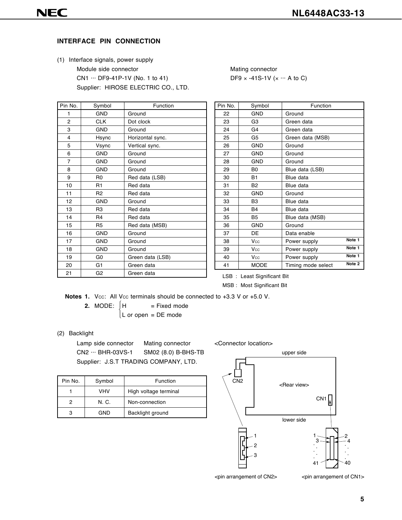#### **INTERFACE PIN CONNECTION**

(1) Interface signals, power supply Module side connector Mating connector CN1  $\cdots$  DF9-41P-1V (No. 1 to 41) DF9  $\times$  -41S-1V ( $\times$   $\cdots$  A to C) Supplier: HIROSE ELECTRIC CO., LTD.

| Pin No.        | Symbol         | Function         |
|----------------|----------------|------------------|
| 1              | <b>GND</b>     | Ground           |
| $\overline{2}$ | <b>CLK</b>     | Dot clock        |
| 3              | <b>GND</b>     | Ground           |
| 4              | Hsync          | Horizontal sync. |
| 5              | Vsync          | Vertical sync.   |
| 6              | <b>GND</b>     | Ground           |
| $\overline{7}$ | <b>GND</b>     | Ground           |
| 8              | <b>GND</b>     | Ground           |
| 9              | R <sub>0</sub> | Red data (LSB)   |
| 10             | R <sub>1</sub> | Red data         |
| 11             | R <sub>2</sub> | Red data         |
| 12             | <b>GND</b>     | Ground           |
| 13             | R <sub>3</sub> | Red data         |
| 14             | R <sub>4</sub> | Red data         |
| 15             | R <sub>5</sub> | Red data (MSB)   |
| 16             | <b>GND</b>     | Ground           |
| 17             | <b>GND</b>     | Ground           |
| 18             | <b>GND</b>     | Ground           |
| 19             | G <sub>0</sub> | Green data (LSB) |
| 20             | G <sub>1</sub> | Green data       |
| 21             | G <sub>2</sub> | Green data       |

| Pin No. | Symbol         | Function           |                   |
|---------|----------------|--------------------|-------------------|
| 22      | <b>GND</b>     | Ground             |                   |
| 23      | G <sub>3</sub> | Green data         |                   |
| 24      | G4             | Green data         |                   |
| 25      | G5             | Green data (MSB)   |                   |
| 26      | <b>GND</b>     | Ground             |                   |
| 27      | <b>GND</b>     | Ground             |                   |
| 28      | <b>GND</b>     | Ground             |                   |
| 29      | B <sub>0</sub> | Blue data (LSB)    |                   |
| 30      | <b>B1</b>      | Blue data          |                   |
| 31      | B <sub>2</sub> | Blue data          |                   |
| 32      | <b>GND</b>     | Ground             |                   |
| 33      | B <sub>3</sub> | Blue data          |                   |
| 34      | <b>B4</b>      | Blue data          |                   |
| 35      | B <sub>5</sub> | Blue data (MSB)    |                   |
| 36      | <b>GND</b>     | Ground             |                   |
| 37      | DE             | Data enable        |                   |
| 38      | Vcc            | Power supply       | Note 1            |
| 39      | Vcc            | Power supply       | Note 1            |
| 40      | Vcc            | Power supply       | Note 1            |
| 41      | <b>MODE</b>    | Timing mode select | Note <sub>2</sub> |

LSB : Least Significant Bit

MSB : Most Significant Bit

Notes 1. Vcc: All Vcc terminals should be connected to +3.3 V or +5.0 V.

ſ

**2.** MODE:  $\begin{cases} H & = \text{Fixed mode} \end{cases}$ L or open = DE mode

#### (2) Backlight

Lamp side connector Mating connector CN2 ··· BHR-03VS-1 SM02 (8.0) B-BHS-TB Supplier: J.S.T TRADING COMPANY, LTD.

<Connector location>

| Pin No. | Symbol | Function              |  |  |  |  |  |
|---------|--------|-----------------------|--|--|--|--|--|
|         | VHV    | High voltage terminal |  |  |  |  |  |
| 2       | N. C.  | Non-connection        |  |  |  |  |  |
| 3       | GND    | Backlight ground      |  |  |  |  |  |



<pin arrangement of CN2>

<pin arrangement of CN1>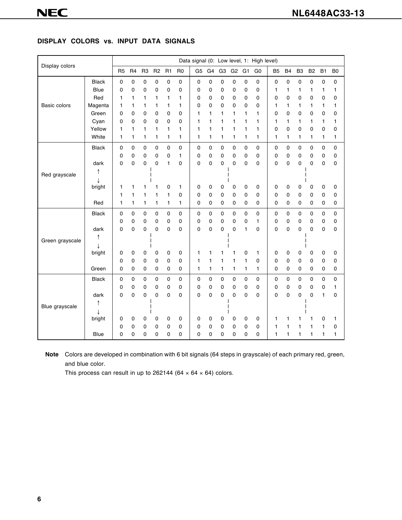#### **DISPLAY COLORS vs. INPUT DATA SIGNALS**

| Display colors  |              |                |                |                |                |             |                |                |    |                |                |                | Data signal (0: Low level, 1: High level) |                |           |                |                |              |                |
|-----------------|--------------|----------------|----------------|----------------|----------------|-------------|----------------|----------------|----|----------------|----------------|----------------|-------------------------------------------|----------------|-----------|----------------|----------------|--------------|----------------|
|                 |              | R <sub>5</sub> | R <sub>4</sub> | R <sub>3</sub> | R <sub>2</sub> | R1          | R <sub>0</sub> | G <sub>5</sub> | G4 | G <sub>3</sub> | G <sub>2</sub> | G <sub>1</sub> | G <sub>0</sub>                            | B <sub>5</sub> | <b>B4</b> | B <sub>3</sub> | B <sub>2</sub> | <b>B1</b>    | B <sub>0</sub> |
|                 | <b>Black</b> | 0              | $\mathbf 0$    | 0              | 0              | 0           | 0              | $\mathsf 0$    | 0  | 0              | 0              | 0              | 0                                         | 0              | 0         | 0              | 0              | 0            | $\pmb{0}$      |
|                 | <b>Blue</b>  | 0              | $\mathbf 0$    | 0              | 0              | 0           | 0              | 0              | 0  | 0              | 0              | 0              | 0                                         | 1              | 1         | 1              | 1              | 1            | 1              |
|                 | Red          | 1              | 1              | 1              | 1              | 1           | 1              | 0              | 0  | 0              | 0              | 0              | 0                                         | 0              | 0         | 0              | 0              | 0            | 0              |
| Basic colors    | Magenta      | 1              | 1              | 1              | 1              | 1           | 1              | 0              | 0  | 0              | 0              | 0              | 0                                         | 1              | 1         | 1              | 1              | 1            | 1              |
|                 | Green        | 0              | $\mathbf 0$    | 0              | 0              | 0           | 0              | 1              | 1  | 1              | 1              | 1              | 1                                         | 0              | 0         | 0              | 0              | 0            | 0              |
|                 | Cyan         | 0              | $\mathbf 0$    | 0              | 0              | 0           | 0              | 1              | 1  | 1              | 1              | 1              | 1                                         | 1              | 1         | 1              | 1              | 1            | 1              |
|                 | Yellow       | 1              | 1              | 1              | 1              | 1           | 1              | 1              | 1  | 1              | 1              | 1              | 1                                         | 0              | 0         | 0              | 0              | 0            | 0              |
|                 | White        | 1              | 1              | 1              | 1              | 1           | 1              | 1              | 1  | 1              | 1              | 1              | 1                                         | 1              | 1         | 1              | 1              | 1            | 1              |
|                 | <b>Black</b> | 0              | $\mathbf 0$    | 0              | 0              | $\mathbf 0$ | 0              | $\mathbf 0$    | 0  | 0              | 0              | $\mathbf 0$    | 0                                         | $\mathsf 0$    | 0         | $\mathsf 0$    | 0              | 0            | 0              |
|                 |              | 0              | 0              | 0              | 0              | 0           | 1              | 0              | 0  | 0              | 0              | 0              | 0                                         | 0              | 0         | 0              | 0              | 0            | 0              |
|                 | dark         | 0              | 0              | $\mathbf 0$    | 0              | 1           | 0              | $\mathbf 0$    | 0  | 0              | 0              | 0              | 0                                         | 0              | 0         | 0              | 0              | 0            | 0              |
| Red grayscale   |              |                |                |                |                |             |                |                |    |                |                |                |                                           |                |           |                |                |              |                |
|                 |              |                |                |                |                |             |                |                |    |                |                |                |                                           |                |           |                |                |              |                |
|                 | bright       | 1              | 1              | 1              | 1              | 0           | 1              | 0              | 0  | 0              | 0              | 0              | 0                                         | 0              | 0         | 0              | 0              | 0            | 0              |
|                 |              | 1              | 1              | 1              | 1              | 1           | 0              | 0              | 0  | 0              | 0              | 0              | 0                                         | 0              | 0         | 0              | 0              | 0            | 0              |
|                 | Red          | 1              | 1              | 1              | 1              | 1           | 1              | 0              | 0  | 0              | 0              | 0              | 0                                         | 0              | 0         | 0              | 0              | 0            | 0              |
|                 | <b>Black</b> | 0              | $\mathbf 0$    | 0              | 0              | 0           | 0              | $\mathbf 0$    | 0  | 0              | 0              | $\mathbf 0$    | $\mathsf 0$                               | 0              | 0         | $\mathsf 0$    | 0              | $\mathsf 0$  | 0              |
|                 |              | 0              | $\mathbf 0$    | 0              | 0              | 0           | 0              | 0              | 0  | 0              | 0              | 0              | $\mathbf{1}$                              | 0              | 0         | 0              | 0              | 0            | 0              |
|                 | dark         | 0              | 0              | 0              | 0              | 0           | 0              | 0              | 0  | 0              | 0              | 1              | 0                                         | 0              | 0         | 0              | 0              | 0            | 0              |
| Green grayscale |              |                |                |                |                |             |                |                |    |                |                |                |                                           |                |           |                |                |              |                |
|                 |              |                |                |                |                |             |                |                |    |                |                |                |                                           |                |           |                |                |              |                |
|                 | bright       | 0              | 0              | 0              | 0              | 0           | 0              | 1              | 1  | 1              | 1              | 0              | 1                                         | 0              | 0         | 0              | 0              | 0            | 0              |
|                 |              | 0              | 0              | 0              | 0              | 0           | 0              | 1              | 1  | 1              | 1              | 1              | 0                                         | 0              | 0         | 0              | 0              | 0            | 0              |
|                 | Green        | 0              | 0              | 0              | 0              | 0           | 0              | 1              | 1  | 1              | 1              | 1              | 1                                         | 0              | 0         | 0              | 0              | 0            | 0              |
|                 | <b>Black</b> | 0              | 0              | 0              | 0              | 0           | 0              | 0              | 0  | 0              | 0              | 0              | 0                                         | 0              | 0         | $\mathsf 0$    | 0              | 0            | 0              |
| Blue grayscale  |              | 0              | 0              | 0              | 0              | 0           | 0              | 0              | 0  | 0              | 0              | 0              | 0                                         | 0              | 0         | 0              | 0              | 0            | 1              |
|                 | dark         | 0              | 0              | 0              | 0              | 0           | 0              | 0              | 0  | 0              | 0              | 0              | 0                                         | 0              | 0         | 0              | 0              | $\mathbf{1}$ | 0              |
|                 |              |                |                |                |                |             |                |                |    |                |                |                |                                           |                |           |                |                |              |                |
|                 |              |                |                |                |                |             |                |                |    |                |                |                |                                           |                |           |                |                |              |                |
|                 | bright       | 0              | 0              | 0              | 0              | 0           | 0              | 0              | 0  | 0              | 0              | 0              | 0                                         | $\mathbf{1}$   | 1         |                | 1              | 0            | 1              |
|                 |              | 0              | 0              | 0              | 0              | 0           | 0              | 0              | 0  | 0              | 0              | 0              | 0                                         | 1              | 1         | 1              | 1              | $\mathbf{1}$ | 0              |
|                 | Blue         | 0              | 0              | 0              | 0              | 0           | 0              | 0              | 0  | 0              | 0              | 0              | 0                                         | $\mathbf{1}$   | 1         | 1              | 1              | 1            | 1              |

**Note** Colors are developed in combination with 6 bit signals (64 steps in grayscale) of each primary red, green, and blue color.

This process can result in up to 262144 (64  $\times$  64  $\times$  64) colors.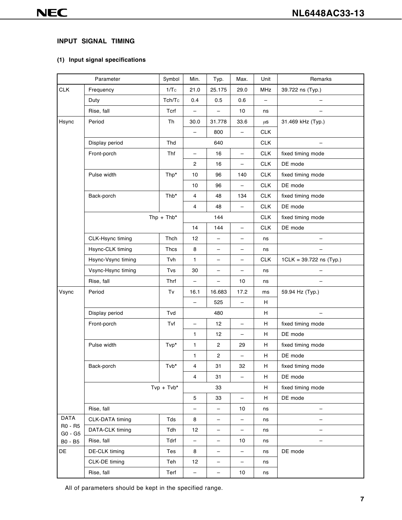# **INPUT SIGNAL TIMING**

# **(1) Input signal specifications**

|                    | Parameter          | Symbol       | Min.                     | Typ.                     | Max.                     | Unit       | Remarks                   |
|--------------------|--------------------|--------------|--------------------------|--------------------------|--------------------------|------------|---------------------------|
| <b>CLK</b>         | Frequency          | 1/Tc         | 21.0                     | 25.175                   | 29.0                     | MHz        | 39.722 ns (Typ.)          |
|                    | Duty               | Tch/Tc       | 0.4                      | 0.5                      | 0.6                      |            |                           |
|                    | Rise, fall         | Tcrf         | $\qquad \qquad -$        | $\overline{\phantom{0}}$ | 10                       | ns         | $\qquad \qquad -$         |
| Hsync              | Period             | Th           | 30.0                     | 31.778                   | 33.6                     | $\mu$ S    | 31.469 kHz (Typ.)         |
|                    |                    |              | $\overline{\phantom{0}}$ | 800                      | $\overline{\phantom{0}}$ | <b>CLK</b> |                           |
|                    | Display period     | Thd          |                          | 640                      |                          | <b>CLK</b> | $\overline{\phantom{m}}$  |
|                    | Front-porch        | Thf          | $\overline{\phantom{0}}$ | 16                       | $\overline{\phantom{0}}$ | <b>CLK</b> | fixed timing mode         |
|                    |                    |              | $\mathbf{2}$             | 16                       | $\qquad \qquad -$        | <b>CLK</b> | DE mode                   |
|                    | Pulse width        | Thp*         | 10                       | 96                       | 140                      | <b>CLK</b> | fixed timing mode         |
|                    |                    |              | $10$                     | 96                       | -                        | <b>CLK</b> | DE mode                   |
|                    | Back-porch         | Thb*         | 4                        | 48                       | 134                      | <b>CLK</b> | fixed timing mode         |
|                    |                    |              | $\overline{4}$           | 48                       |                          | <b>CLK</b> | DE mode                   |
|                    |                    | $Thp + Thb*$ |                          | 144                      |                          | <b>CLK</b> | fixed timing mode         |
|                    |                    |              | 14                       | 144                      | $\overline{\phantom{0}}$ | <b>CLK</b> | DE mode                   |
|                    | CLK-Hsync timing   | Thch         | 12                       | $\overline{\phantom{0}}$ | $\overline{\phantom{0}}$ | ns         | —                         |
|                    | Hsync-CLK timing   | Thcs         | 8                        | $\overline{\phantom{0}}$ | $\overline{\phantom{m}}$ | ns         | —                         |
|                    | Hsync-Vsync timing | Tvh          | 1                        | $\qquad \qquad -$        | $\overline{\phantom{m}}$ | <b>CLK</b> | $1CLK = 39.722$ ns (Typ.) |
|                    | Vsync-Hsync timing | Tvs          | 30                       | $\qquad \qquad -$        | -                        | ns         | —                         |
|                    | Rise, fall         | Thrf         | $\qquad \qquad -$        | $\overline{\phantom{0}}$ | 10                       | ns         |                           |
| Vsync              | Period             | Tv           | 16.1                     | 16.683                   | 17.2                     | ms         | 59.94 Hz (Typ.)           |
|                    |                    |              | -                        | 525                      | -                        | H          |                           |
|                    | Display period     | Tvd          |                          | 480                      |                          | Н          |                           |
|                    | Front-porch        | Tvf          | $\qquad \qquad -$        | 12                       | -                        | H          | fixed timing mode         |
|                    |                    |              | 1                        | 12                       | $\qquad \qquad -$        | H          | DE mode                   |
|                    | Pulse width        | Tvp*         | 1                        | $\mathbf{2}$             | 29                       | H          | fixed timing mode         |
|                    |                    |              | 1                        | $\overline{\mathbf{c}}$  | $\overline{\phantom{0}}$ | H          | DE mode                   |
|                    | Back-porch         | Tvb*         | 4                        | 31                       | 32                       | H.         | fixed timing mode         |
|                    |                    |              | $\overline{4}$           | 31                       | $\qquad \qquad -$        | H          | DE mode                   |
|                    |                    | $Tvp + Tvb*$ |                          | 33                       |                          | H          | fixed timing mode         |
|                    |                    |              | 5                        | 33                       | $\qquad \qquad -$        | H          | DE mode                   |
|                    | Rise, fall         |              |                          | -                        | 10                       | ns         | $\qquad \qquad -$         |
| <b>DATA</b>        | CLK-DATA timing    | Tds          | 8                        | -                        | -                        | ns         |                           |
| R0 - R5<br>G0 - G5 | DATA-CLK timing    | Tdh          | 12                       | $\qquad \qquad -$        | $\qquad \qquad -$        | ns         |                           |
| B0 - B5            | Rise, fall         | Tdrf         | $\qquad \qquad -$        | -                        | 10                       | ns         |                           |
| DE                 | DE-CLK timing      | Tes          | 8                        | $\qquad \qquad -$        | -                        | ns         | DE mode                   |
|                    | CLK-DE timing      | Teh          | 12                       | $\qquad \qquad -$        | $\qquad \qquad -$        | ns         |                           |
|                    | Rise, fall         | Terf         | $\overline{\phantom{a}}$ | $\qquad \qquad -$        | 10                       | ns         |                           |

All of parameters should be kept in the specified range.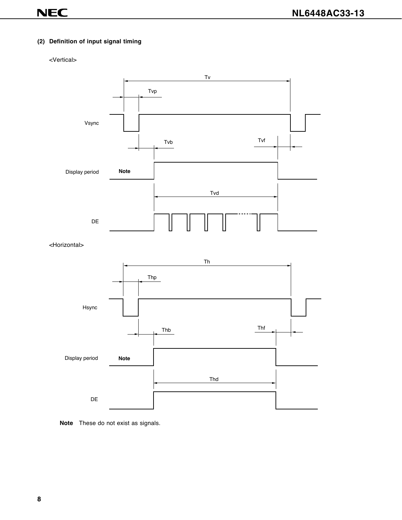#### **(2) Definition of input signal timing**

#### <Vertical>



<Horizontal>



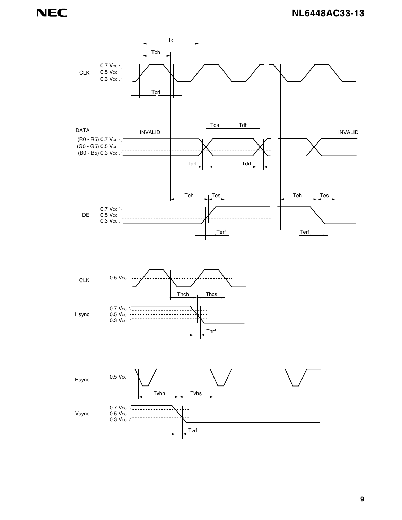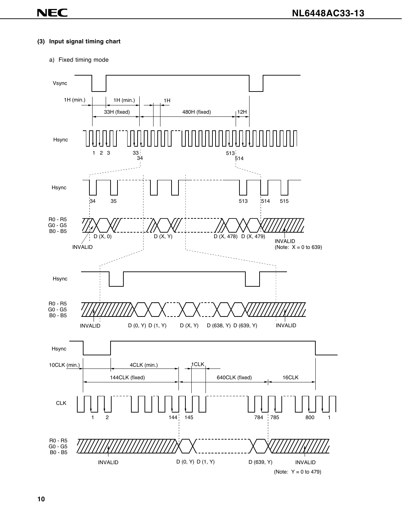#### **(3) Input signal timing chart**

#### a) Fixed timing mode

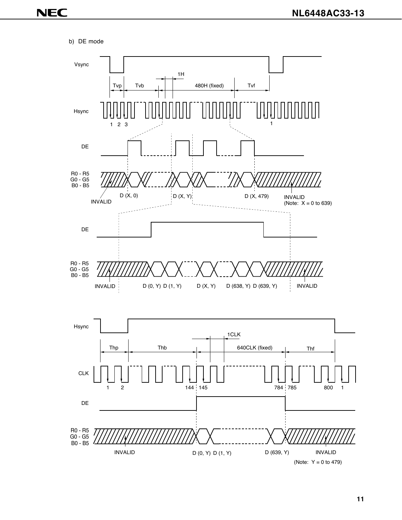b) DE mode

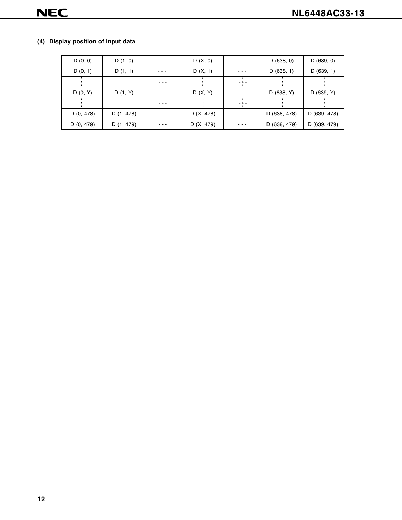# **(4) Display position of input data**

| D(0, 0)    | D(1, 0)    | ---                                                                               | D(X, 0)      | $\frac{1}{2} \left( \frac{1}{2} \right) \left( \frac{1}{2} \right) \left( \frac{1}{2} \right) \left( \frac{1}{2} \right)$ | D(638, 0)    | D(639, 0)    |
|------------|------------|-----------------------------------------------------------------------------------|--------------|---------------------------------------------------------------------------------------------------------------------------|--------------|--------------|
| D(0, 1)    | D(1, 1)    |                                                                                   | D(X, 1)      | - - -                                                                                                                     | D(638, 1)    | D(639, 1)    |
|            |            | $\frac{1}{2} \left( \frac{1}{2} \right) \left( \frac{1}{2} \right) = \frac{1}{2}$ |              | $\frac{1}{2} \left( \frac{1}{2} \right) \frac{1}{2} \left( \frac{1}{2} \right)$                                           |              |              |
| D(0, Y)    | D(1, Y)    |                                                                                   | D(X, Y)      | - - -                                                                                                                     | D (638, Y)   | D(639, Y)    |
|            |            | $\frac{1}{2} \left( \frac{1}{2} \right) \left( \frac{1}{2} \right) = \frac{1}{2}$ |              | $\sim$ A $\sim$                                                                                                           |              |              |
| D (0, 478) | D (1, 478) |                                                                                   | D (X, 478)   | ---                                                                                                                       | D (638, 478) | D (639, 478) |
| D (0, 479) | D (1, 479) |                                                                                   | D $(X, 479)$ | ---                                                                                                                       | D (638, 479) | D (639, 479) |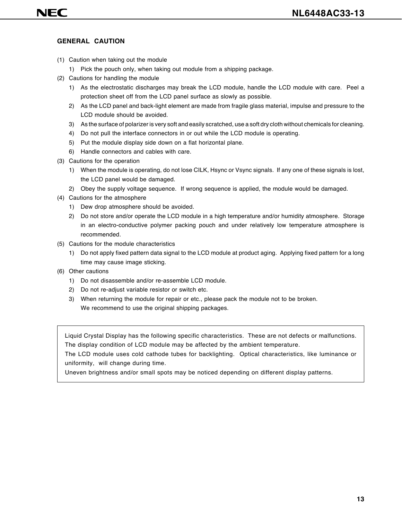#### **GENERAL CAUTION**

- (1) Caution when taking out the module
	- 1) Pick the pouch only, when taking out module from a shipping package.
- (2) Cautions for handling the module
	- 1) As the electrostatic discharges may break the LCD module, handle the LCD module with care. Peel a protection sheet off from the LCD panel surface as slowly as possible.
	- 2) As the LCD panel and back-light element are made from fragile glass material, impulse and pressure to the LCD module should be avoided.
	- 3) As the surface of polarizer is very soft and easily scratched, use a soft dry cloth without chemicals for cleaning.
	- 4) Do not pull the interface connectors in or out while the LCD module is operating.
	- 5) Put the module display side down on a flat horizontal plane.
	- 6) Handle connectors and cables with care.
- (3) Cautions for the operation
	- 1) When the module is operating, do not lose CILK, Hsync or Vsync signals. If any one of these signals is lost, the LCD panel would be damaged.
	- 2) Obey the supply voltage sequence. If wrong sequence is applied, the module would be damaged.
- (4) Cautions for the atmosphere
	- 1) Dew drop atmosphere should be avoided.
	- 2) Do not store and/or operate the LCD module in a high temperature and/or humidity atmosphere. Storage in an electro-conductive polymer packing pouch and under relatively low temperature atmosphere is recommended.
- (5) Cautions for the module characteristics
	- 1) Do not apply fixed pattern data signal to the LCD module at product aging. Applying fixed pattern for a long time may cause image sticking.
- (6) Other cautions
	- 1) Do not disassemble and/or re-assemble LCD module.
	- 2) Do not re-adjust variable resistor or switch etc.
	- 3) When returning the module for repair or etc., please pack the module not to be broken. We recommend to use the original shipping packages.

Liquid Crystal Display has the following specific characteristics. These are not defects or malfunctions. The display condition of LCD module may be affected by the ambient temperature.

The LCD module uses cold cathode tubes for backlighting. Optical characteristics, like luminance or uniformity, will change during time.

Uneven brightness and/or small spots may be noticed depending on different display patterns.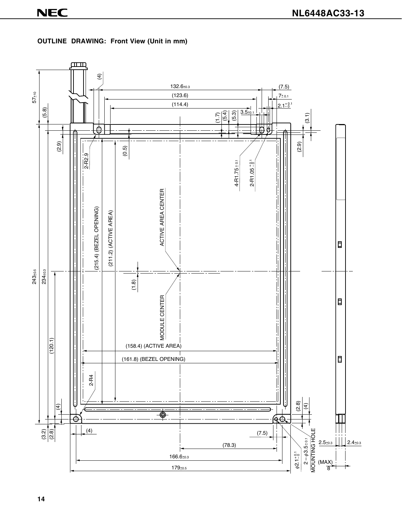

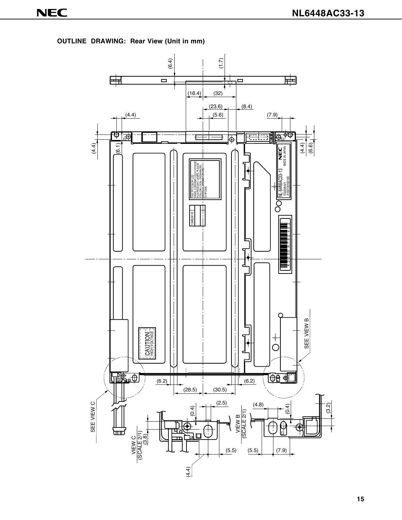**OUTLINE DRAWING: Rear View (Unit in mm)**